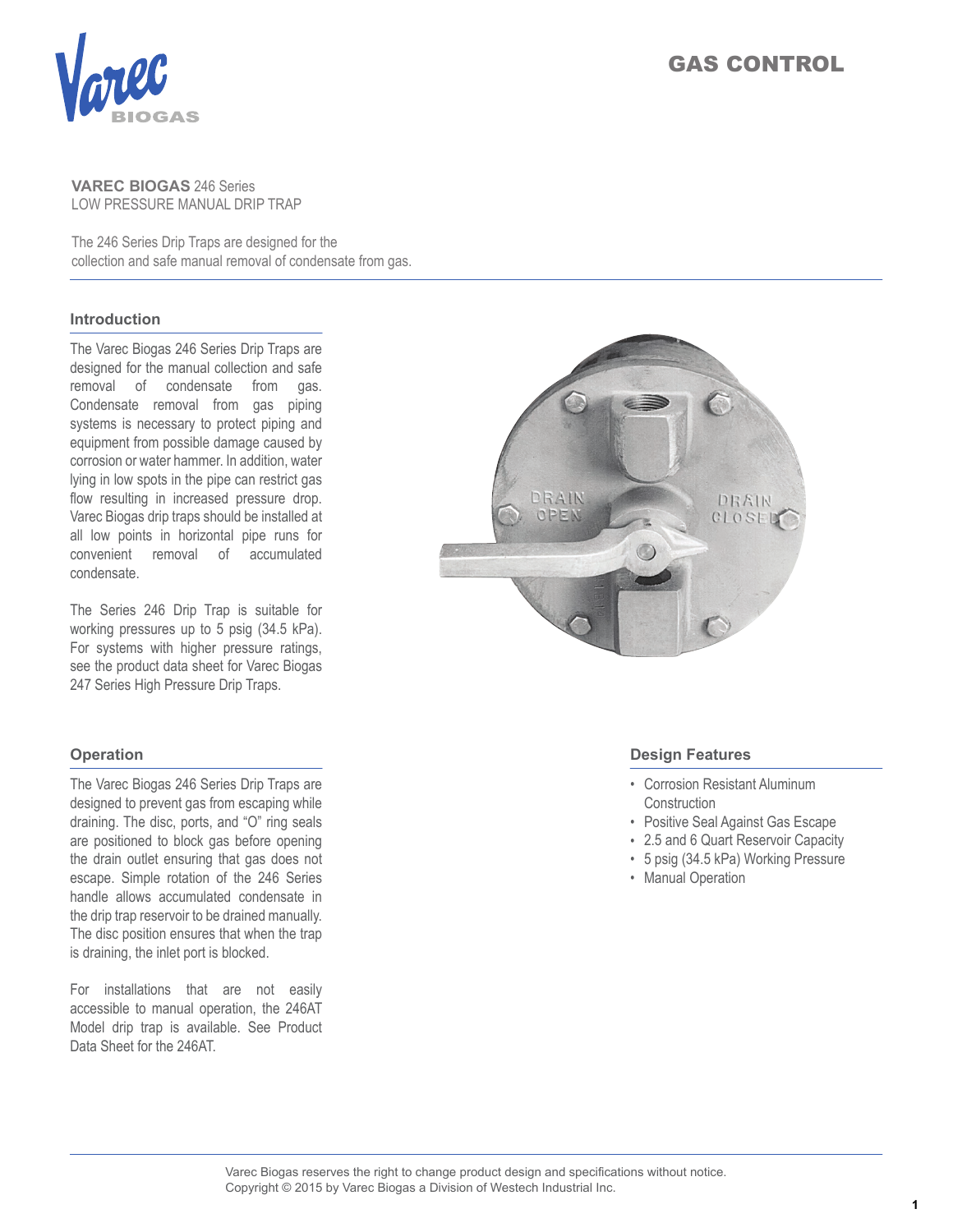

# GAS CONTROL

### **VAREC BIOGAS** 246 Series LOW PRESSURE MANUAL DRIP TRAP

The 246 Series Drip Traps are designed for the collection and safe manual removal of condensate from gas.

### **Introduction**

The Varec Biogas 246 Series Drip Traps are designed for the manual collection and safe removal of condensate from gas. Condensate removal from gas piping systems is necessary to protect piping and equipment from possible damage caused by corrosion or water hammer. In addition, water lying in low spots in the pipe can restrict gas flow resulting in increased pressure drop. Varec Biogas drip traps should be installed at all low points in horizontal pipe runs for convenient removal of accumulated condensate.

The Series 246 Drip Trap is suitable for working pressures up to 5 psig (34.5 kPa). For systems with higher pressure ratings, see the product data sheet for Varec Biogas 247 Series High Pressure Drip Traps.

#### **Operation**

The Varec Biogas 246 Series Drip Traps are designed to prevent gas from escaping while draining. The disc, ports, and "O" ring seals are positioned to block gas before opening the drain outlet ensuring that gas does not escape. Simple rotation of the 246 Series handle allows accumulated condensate in the drip trap reservoir to be drained manually. The disc position ensures that when the trap is draining, the inlet port is blocked.

For installations that are not easily accessible to manual operation, the 246AT Model drip trap is available. See Product Data Sheet for the 246AT.



#### **Design Features**

- Corrosion Resistant Aluminum **Construction**
- Positive Seal Against Gas Escape
- 2.5 and 6 Quart Reservoir Capacity
- 5 psig (34.5 kPa) Working Pressure
- Manual Operation